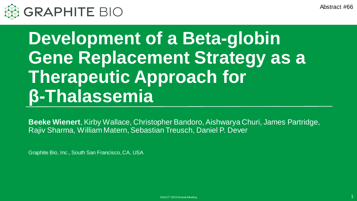Abstract #66



# **Development of a Beta-globin Gene Replacement Strategy as a Therapeutic Approach for β-Thalassemia**

**Beeke Wienert**, Kirby Wallace, Christopher Bandoro, Aishwarya Churi, James Partridge, Rajiv Sharma, William Matern, Sebastian Treusch, Daniel P. Dever

Graphite Bio, Inc., South San Francisco, CA, USA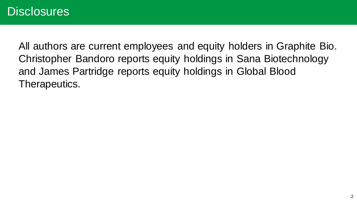All authors are current employees and equity holders in Graphite Bio. Christopher Bandoro reports equity holdings in Sana Biotechnology and James Partridge reports equity holdings in Global Blood Therapeutics.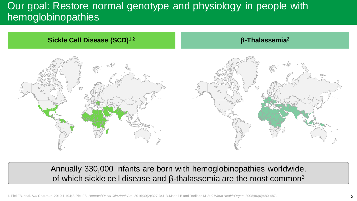## Our goal: Restore normal genotype and physiology in people with hemoglobinopathies



Annually 330,000 infants are born with hemoglobinopathies worldwide, of which sickle cell disease and  $β$ -thalassemia are the most common<sup>3</sup>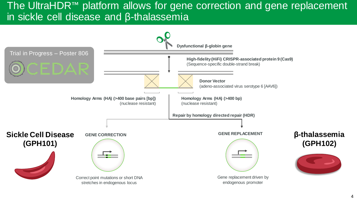#### The UltraHDR™ platform allows for gene correction and gene replacement in sickle cell disease and β-thalassemia

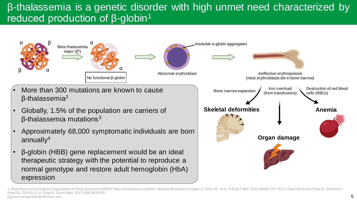## β-thalassemia is a genetic disorder with high unmet need characterized by reduced production of β-globin<sup>1</sup>



- More than 300 mutations are known to cause β-thalassemia<sup>2</sup>
- Globally, 1.5% of the population are carriers of  $β$ -thalassemia mutations<sup>3</sup>
- Approximately 68,000 symptomatic individuals are born annuall $v^4$
- β-globin (HBB) gene replacement would be an ideal therapeutic strategy with the potential to reproduce a normal genotype and restore adult hemoglobin (HbA) expression



<sup>1.</sup> Beta thalassemia. National Organization for Rare Diseases (NORD). https://rarediseases.org/rare-diseases/thalassemia-major/; 2. Taher AT, et al. N Engl J Med. 2021;384(8):727-743; 3. Galanello R and Origa R. Orphanet J *Rare Dis*. 2010;5:11; 4. Origa R. *Genet Med.* 2017;19(6):609-619. Figures created with BioRender.com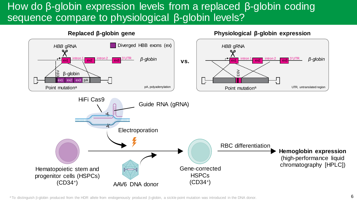## How do β-globin expression levels from a replaced β-globin coding sequence compare to physiological β-globin levels?



**Replaced β-globin gene**

<sup>a</sup> To distinguish β-globin produced from the HDR allele from endogenously produced β-globin, a sickle point mutation was introduced in the DNA donor.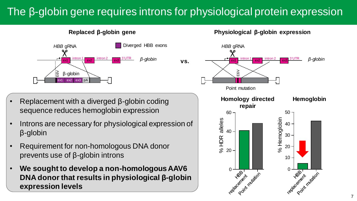## The β-globin gene requires introns for physiological protein expression

**vs.**



**Replaced β-globin gene**

- Replacement with a diverged β-globin coding sequence reduces hemoglobin expression
- Introns are necessary for physiological expression of β-globin
- Requirement for non-homologous DNA donor prevents use of β-globin introns
- **We sought to develop a non-homologous AAV6 DNA donor that results in physiological β-globin expression levels**

**Physiological β-globin expression**

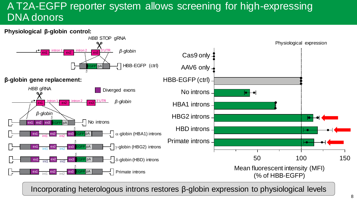## A T2A-EGFP reporter system allows screening for high-expressing DNA donors



Incorporating heterologous introns restores β-globin expression to physiological levels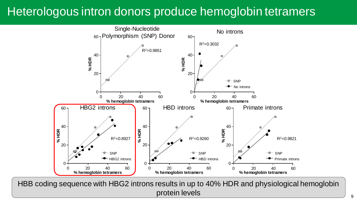## Heterologous intron donors produce hemoglobin tetramers



Poster presented at the 2021 ASH Annual Meeting & Exposition, held on 11-14 December 2021 HBB coding sequence with HBG2 introns results in up to 40% HDR and physiological hemoglobin protein levels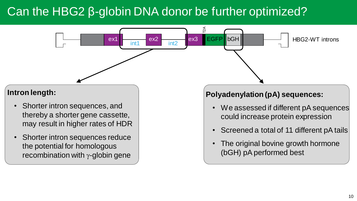## Can the HBG2 β-globin DNA donor be further optimized?

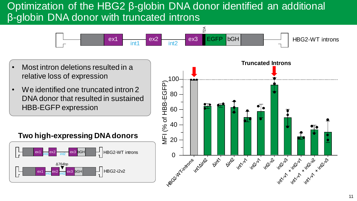#### Optimization of the HBG2 β-globin DNA donor identified an additional β-globin DNA donor with truncated introns



- Most intron deletions resulted in a relative loss of expression
- We identified one truncated intron 2 DNA donor that resulted in sustained HBB-EGFP expression

#### **Two high-expressing DNA donors**



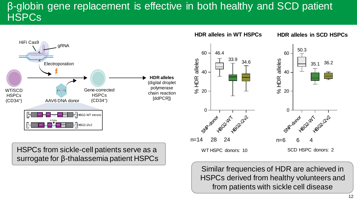## β-globin gene replacement is effective in both healthy and SCD patient **HSPCs**



Similar frequencies of HDR are achieved in HSPCs derived from healthy volunteers and from patients with sickle cell disease

# surrogate for β-thalassemia patient HSPCs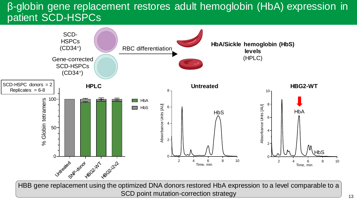#### β-globin gene replacement restores adult hemoglobin (HbA) expression in patient SCD-HSPCs



HBB gene replacement using the optimized DNA donors restored HbA expression to a level comparable to a SCD point mutation-correction strategy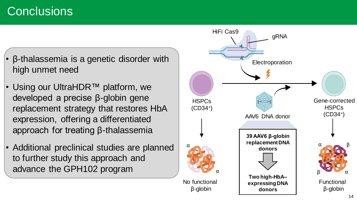## **Conclusions**

- β-thalassemia is a genetic disorder with high unmet need
- Using our UltraHDR™ platform, we developed a precise β-globin gene replacement strategy that restores HbA expression, offering a differentiated approach for treating β-thalassemia
- Additional preclinical studies are planned to further study this approach and advance the GPH102 program

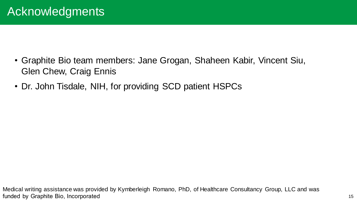- Graphite Bio team members: Jane Grogan, Shaheen Kabir, Vincent Siu, Glen Chew, Craig Ennis
- Dr. John Tisdale, NIH, for providing SCD patient HSPCs

Medical writing assistance was provided by Kymberleigh Romano, PhD, of Healthcare Consultancy Group, LLC and was funded by Graphite Bio, Incorporated